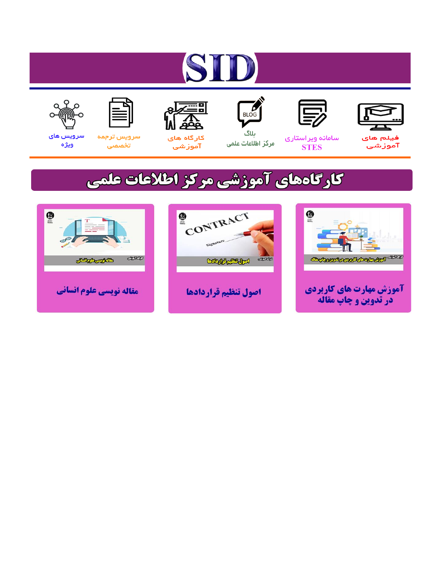# ST











مرکز اطلاعات علمی

 $\frac{1}{\sqrt{\frac{1}{100}}}$ ىلاگ



آموزشي

空

سرويس ترجمه تخصصى



سرویس های ويژه

## كارگاههای آموزشی مركز اطلاعات علمی





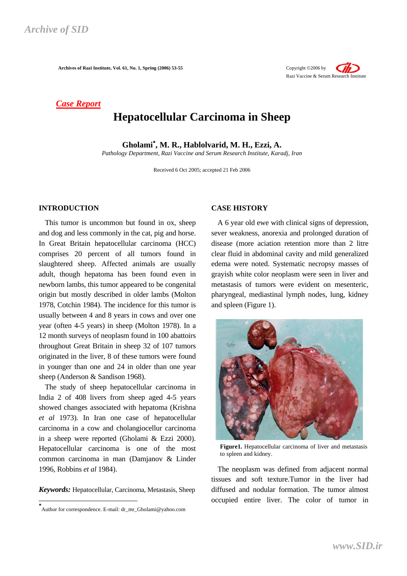*Case Report*

### **Hepatocellular Carcinoma in Sheep**

**Gholami**<sup>∗</sup> **, M. R., Hablolvarid, M. H., Ezzi, A.** 

*Pathology Department, Razi Vaccine and Serum Research Institute, Karadj, Iran* 

Received 6 Oct 2005; accepted 21 Feb 2006

#### **INTRODUCTION**<sup>∗</sup>

This tumor is uncommon but found in ox, sheep and dog and less commonly in the cat, pig and horse. In Great Britain hepatocellular carcinoma (HCC) comprises 20 percent of all tumors found in slaughtered sheep. Affected animals are usually adult, though hepatoma has been found even in newborn lambs, this tumor appeared to be congenital origin but mostly described in older lambs (Molton 1978, Cotchin 1984). The incidence for this tumor is usually between 4 and 8 years in cows and over one year (often 4-5 years) in sheep (Molton 1978). In a 12 month surveys of neoplasm found in 100 abattoirs throughout Great Britain in sheep 32 of 107 tumors originated in the liver, 8 of these tumors were found in younger than one and 24 in older than one year sheep (Anderson & Sandison 1968).

The study of sheep hepatocellular carcinoma in India 2 of 408 livers from sheep aged 4-5 years showed changes associated with hepatoma (Krishna *et al* 1973). In Iran one case of hepatocellular carcinoma in a cow and cholangiocellur carcinoma in a sheep were reported (Gholami & Ezzi 2000). Hepatocellular carcinoma is one of the most common carcinoma in man (Damjanov & Linder 1996, Robbins *et al* 1984).

*Keywords:* Hepatocellular, Carcinoma, Metastasis, Sheep

 $\overline{a}$ 

#### **CASE HISTORY**

A 6 year old ewe with clinical signs of depression, sever weakness, anorexia and prolonged duration of disease (more aciation retention more than 2 litre clear fluid in abdominal cavity and mild generalized edema were noted. Systematic necropsy masses of grayish white color neoplasm were seen in liver and metastasis of tumors were evident on mesenteric, pharyngeal, mediastinal lymph nodes, lung, kidney and spleen (Figure 1).



The neoplasm was defined from adjacent normal tissues and soft texture.Tumor in the liver had diffused and nodular formation. The tumor almost occupied entire liver. The color of tumor in





**<sup>\*</sup>** Author for correspondence. E-mail: dr\_mr\_Gholami@yahoo.com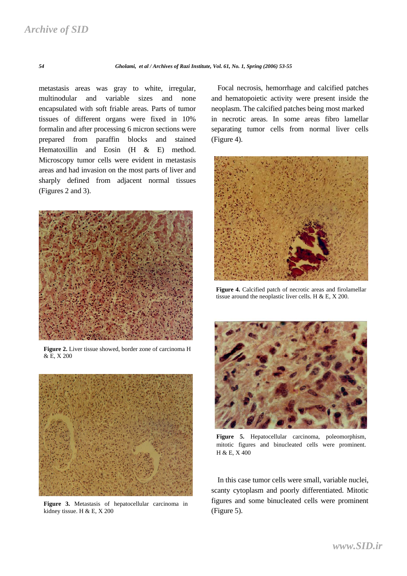*54 Gholami, et al / Archives of Razi Institute, Vol. 61, No. 1, Spring (2006) 53-55*

metastasis areas was gray to white, irregular, multinodular and variable sizes and none encapsulated with soft friable areas. Parts of tumor tissues of different organs were fixed in 10% formalin and after processing 6 micron sections were prepared from paraffin blocks and stained Hematoxillin and Eosin (H & E) method. Microscopy tumor cells were evident in metastasis areas and had invasion on the most parts of liver and sharply defined from adjacent normal tissues (Figures 2 and 3).



**Figure 2.** Liver tissue showed, border zone of carcinoma H & E, X 200



**Figure 3.** Metastasis of hepatocellular carcinoma in kidney tissue. H & E, X 200

Focal necrosis, hemorrhage and calcified patches and hematopoietic activity were present inside the neoplasm. The calcified patches being most marked in necrotic areas. In some areas fibro lamellar separating tumor cells from normal liver cells (Figure 4).



**Figure 4.** Calcified patch of necrotic areas and firolamellar tissue around the neoplastic liver cells. H  $& E, X 200$ .



**Figure 5.** Hepatocellular carcinoma, poleomorphism, mitotic figures and binucleated cells were prominent. H & E, X 400

In this case tumor cells were small, variable nuclei, scanty cytoplasm and poorly differentiated. Mitotic figures and some binucleated cells were prominent (Figure 5).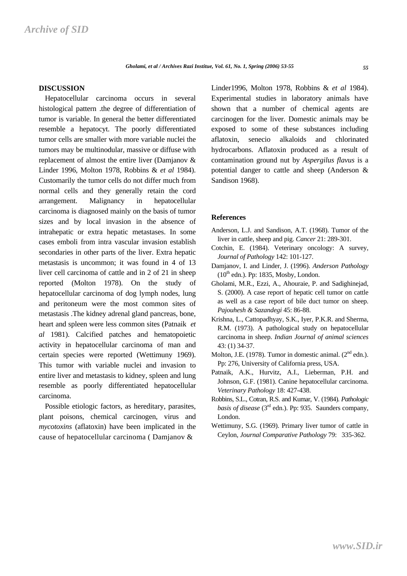#### **DISCUSSION**

Hepatocellular carcinoma occurs in several histological pattern .the degree of differentiation of tumor is variable. In general the better differentiated resemble a hepatocyt. The poorly differentiated tumor cells are smaller with more variable nuclei the tumors may be multinodular, massive or diffuse with replacement of almost the entire liver (Damjanov & Linder 1996, Molton 1978, Robbins & *et al* 1984). Customarily the tumor cells do not differ much from normal cells and they generally retain the cord arrangement. Malignancy in hepatocellular carcinoma is diagnosed mainly on the basis of tumor sizes and by local invasion in the absence of intrahepatic or extra hepatic metastases. In some cases emboli from intra vascular invasion establish secondaries in other parts of the liver. Extra hepatic metastasis is uncommon; it was found in 4 of 13 liver cell carcinoma of cattle and in 2 of 21 in sheep reported (Molton 1978). On the study of hepatocellular carcinoma of dog lymph nodes, lung and peritoneum were the most common sites of metastasis .The kidney adrenal gland pancreas, bone, heart and spleen were less common sites (Patnaik *et al* 1981). Calcified patches and hematopoietic activity in hepatocellular carcinoma of man and certain species were reported (Wettimuny 1969). This tumor with variable nuclei and invasion to entire liver and metastasis to kidney, spleen and lung resemble as poorly differentiated hepatocellular carcinoma.

Possible etiologic factors, as hereditary, parasites, plant poisons, chemical carcinogen, virus and *mycotoxins* (aflatoxin) have been implicated in the cause of hepatocellular carcinoma ( Damjanov &

Linder1996, Molton 1978, Robbins & *et al* 1984). Experimental studies in laboratory animals have shown that a number of chemical agents are carcinogen for the liver. Domestic animals may be exposed to some of these substances including aflatoxin, senecio alkaloids and chlorinated hydrocarbons. Aflatoxin produced as a result of contamination ground nut by *Aspergilus flavus* is a potential danger to cattle and sheep (Anderson & Sandison 1968).

#### **References**

- Anderson, L.J. and Sandison, A.T. (1968). Tumor of the liver in cattle, sheep and pig. *Cancer* 21: 289-301.
- Cotchin, E. (1984). Veterinary oncology: A survey, *Journal of Pathology* 142: 101-127.
- Damjanov, I. and Linder, J. (1996). *Anderson Pathology*  $(10^{th}$  edn.). Pp: 1835, Mosby, London.
- Gholami, M.R., Ezzi, A., Ahouraie, P. and Sadighinejad, S. (2000). A case report of hepatic cell tumor on cattle as well as a case report of bile duct tumor on sheep. *Pajouhesh & Sazandegi* 45: 86-88.
- Krishna, L., Cattopadhyay, S.K., Iyer, P.K.R. and Sherma, R.M. (1973). A pathological study on hepatocellular carcinoma in sheep. *Indian Journal of animal sciences* 43: (1) 34-37.
- Molton, J.E. (1978). Tumor in domestic animal. (2<sup>nd</sup> edn.). Pp: 276, University of California press, USA.
- Patnaik, A.K., Hurvitz, A.I., Lieberman, P.H. and Johnson, G.F. (1981). Canine hepatocellular carcinoma. *Veterinary Pathology* 18: 427-438.
- Robbins, S.L., Cotran, R.S. and Kumar, V. (1984). *Pathologic basis of disease* (3rd edn.). Pp: 935. Saunders company, London.
- Wettimuny, S.G. (1969). Primary liver tumor of cattle in Ceylon, *Journal Comparative Pathology* 79: 335-362.